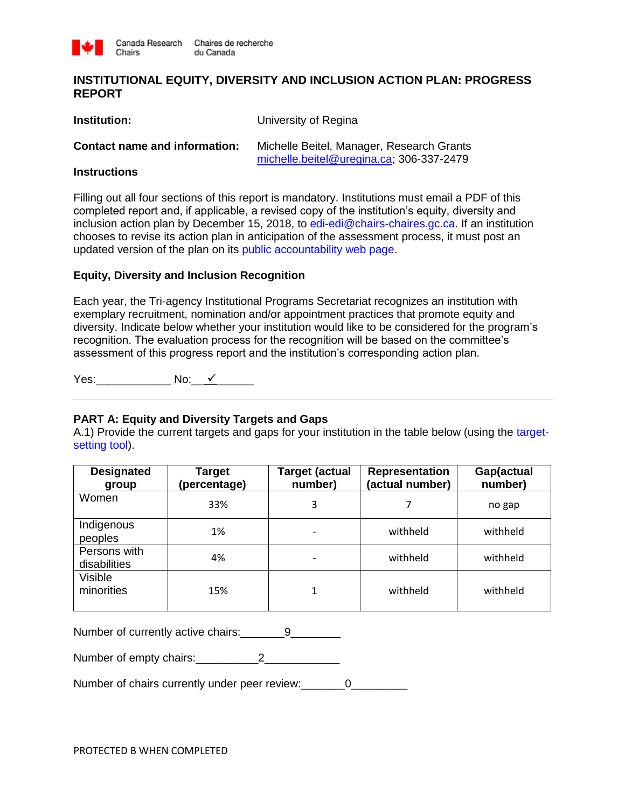

# **INSTITUTIONAL EQUITY, DIVERSITY AND INCLUSION ACTION PLAN: PROGRESS REPORT**

| <b>Institution:</b>                  | University of Regina                                                                  |
|--------------------------------------|---------------------------------------------------------------------------------------|
| <b>Contact name and information:</b> | Michelle Beitel, Manager, Research Grants<br>michelle.beitel@uregina.ca; 306-337-2479 |
| <b>Instructions</b>                  |                                                                                       |

Filling out all four sections of this report is mandatory. Institutions must email a PDF of this completed report and, if applicable, a revised copy of the institution's equity, diversity and inclusion action plan by December 15, 2018, to edi-edi@chairs-chaires.gc.ca. If an institution chooses to revise its action plan in anticipation of the assessment process, it must post an updated version of the plan on its public accountability web page.

# **Equity, Diversity and Inclusion Recognition**

Each year, the Tri-agency Institutional Programs Secretariat recognizes an institution with exemplary recruitment, nomination and/or appointment practices that promote equity and diversity. Indicate below whether your institution would like to be considered for the program's recognition. The evaluation process for the recognition will be based on the committee's assessment of this progress report and the institution's corresponding action plan.

 $Yes:$  No: <u> $\checkmark$ </u>

# **PART A: Equity and Diversity Targets and Gaps**

A.1) Provide the current targets and gaps for your institution in the table below (using the targetsetting tool).

| <b>Designated</b><br>group   | <b>Target</b><br>(percentage) | <b>Target (actual</b><br>number) | <b>Representation</b><br>(actual number) | Gap(actual<br>number) |
|------------------------------|-------------------------------|----------------------------------|------------------------------------------|-----------------------|
| Women                        | 33%                           | 3                                |                                          | no gap                |
| Indigenous<br>peoples        | 1%                            |                                  | withheld                                 | withheld              |
| Persons with<br>disabilities | 4%                            |                                  | withheld                                 | withheld              |
| <b>Visible</b><br>minorities | 15%                           |                                  | withheld                                 | withheld              |

Number of currently active chairs: The settle of  $\frac{1}{2}$ 

Number of empty chairs: 2

Number of chairs currently under peer review: 0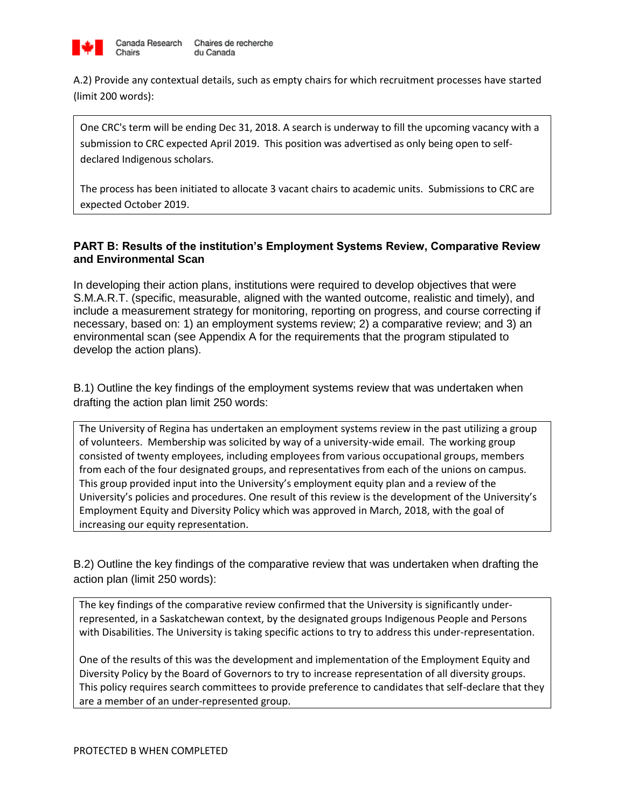

A.2) Provide any contextual details, such as empty chairs for which recruitment processes have started (limit 200 words):

One CRC's term will be ending Dec 31, 2018. A search is underway to fill the upcoming vacancy with a submission to CRC expected April 2019. This position was advertised as only being open to selfdeclared Indigenous scholars.

The process has been initiated to allocate 3 vacant chairs to academic units. Submissions to CRC are expected October 2019.

# **PART B: Results of the institution's Employment Systems Review, Comparative Review and Environmental Scan**

In developing their action plans, institutions were required to develop objectives that were S.M.A.R.T. (specific, measurable, aligned with the wanted outcome, realistic and timely), and include a measurement strategy for monitoring, reporting on progress, and course correcting if necessary, based on: 1) an employment systems review; 2) a comparative review; and 3) an environmental scan (see Appendix A for the requirements that the program stipulated to develop the action plans).

B.1) Outline the key findings of the employment systems review that was undertaken when drafting the action plan limit 250 words:

The University of Regina has undertaken an employment systems review in the past utilizing a group of volunteers. Membership was solicited by way of a university-wide email. The working group consisted of twenty employees, including employees from various occupational groups, members from each of the four designated groups, and representatives from each of the unions on campus. This group provided input into the University's employment equity plan and a review of the University's policies and procedures. One result of this review is the development of the University's Employment Equity and Diversity Policy which was approved in March, 2018, with the goal of increasing our equity representation.

B.2) Outline the key findings of the comparative review that was undertaken when drafting the action plan (limit 250 words):

The key findings of the comparative review confirmed that the University is significantly underrepresented, in a Saskatchewan context, by the designated groups Indigenous People and Persons with Disabilities. The University is taking specific actions to try to address this under-representation.

One of the results of this was the development and implementation of the Employment Equity and Diversity Policy by the Board of Governors to try to increase representation of all diversity groups. This policy requires search committees to provide preference to candidates that self-declare that they are a member of an under-represented group.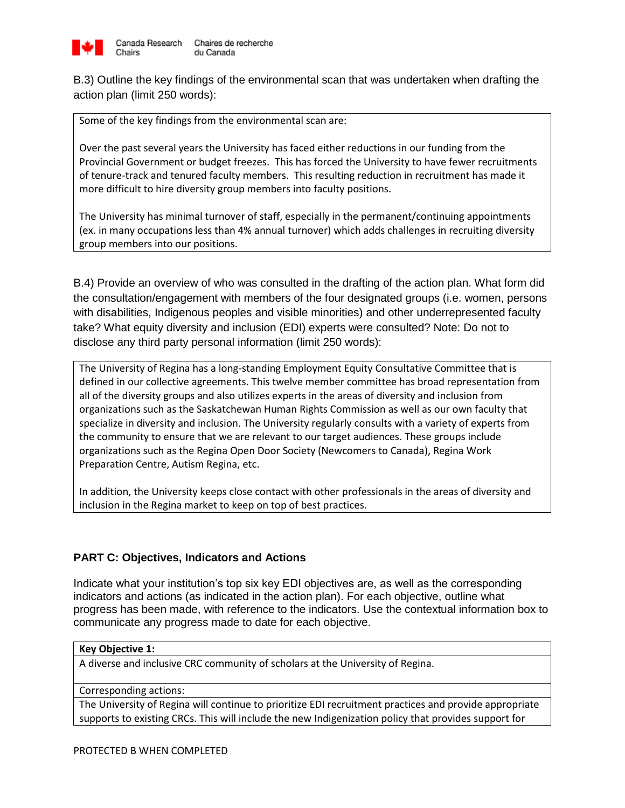

B.3) Outline the key findings of the environmental scan that was undertaken when drafting the action plan (limit 250 words):

Some of the key findings from the environmental scan are:

Over the past several years the University has faced either reductions in our funding from the Provincial Government or budget freezes. This has forced the University to have fewer recruitments of tenure-track and tenured faculty members. This resulting reduction in recruitment has made it more difficult to hire diversity group members into faculty positions.

The University has minimal turnover of staff, especially in the permanent/continuing appointments (ex. in many occupations less than 4% annual turnover) which adds challenges in recruiting diversity group members into our positions.

B.4) Provide an overview of who was consulted in the drafting of the action plan. What form did the consultation/engagement with members of the four designated groups (i.e. women, persons with disabilities, Indigenous peoples and visible minorities) and other underrepresented faculty take? What equity diversity and inclusion (EDI) experts were consulted? Note: Do not to disclose any third party personal information (limit 250 words):

The University of Regina has a long-standing Employment Equity Consultative Committee that is defined in our collective agreements. This twelve member committee has broad representation from all of the diversity groups and also utilizes experts in the areas of diversity and inclusion from organizations such as the Saskatchewan Human Rights Commission as well as our own faculty that specialize in diversity and inclusion. The University regularly consults with a variety of experts from the community to ensure that we are relevant to our target audiences. These groups include organizations such as the Regina Open Door Society (Newcomers to Canada), Regina Work Preparation Centre, Autism Regina, etc.

In addition, the University keeps close contact with other professionals in the areas of diversity and inclusion in the Regina market to keep on top of best practices.

# **PART C: Objectives, Indicators and Actions**

Indicate what your institution's top six key EDI objectives are, as well as the corresponding indicators and actions (as indicated in the action plan). For each objective, outline what progress has been made, with reference to the indicators. Use the contextual information box to communicate any progress made to date for each objective.

## **Key Objective 1:**

A diverse and inclusive CRC community of scholars at the University of Regina.

## Corresponding actions:

The University of Regina will continue to prioritize EDI recruitment practices and provide appropriate supports to existing CRCs. This will include the new Indigenization policy that provides support for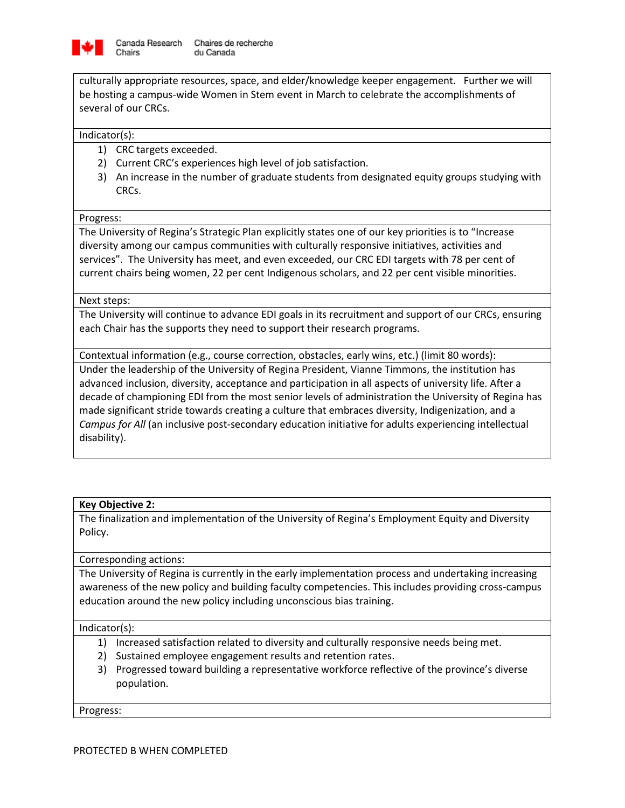

culturally appropriate resources, space, and elder/knowledge keeper engagement. Further we will be hosting a campus-wide Women in Stem event in March to celebrate the accomplishments of several of our CRCs.

Indicator(s):

Chairs

- 1) CRC targets exceeded.
- 2) Current CRC's experiences high level of job satisfaction.
- 3) An increase in the number of graduate students from designated equity groups studying with CRCs.

#### Progress:

The University of Regina's Strategic Plan explicitly states one of our key priorities is to "Increase diversity among our campus communities with culturally responsive initiatives, activities and services". The University has meet, and even exceeded, our CRC EDI targets with 78 per cent of current chairs being women, 22 per cent Indigenous scholars, and 22 per cent visible minorities.

### Next steps:

The University will continue to advance EDI goals in its recruitment and support of our CRCs, ensuring each Chair has the supports they need to support their research programs.

Contextual information (e.g., course correction, obstacles, early wins, etc.) (limit 80 words):

Under the leadership of the University of Regina President, Vianne Timmons, the institution has advanced inclusion, diversity, acceptance and participation in all aspects of university life. After a decade of championing EDI from the most senior levels of administration the University of Regina has made significant stride towards creating a culture that embraces diversity, Indigenization, and a *Campus for All* (an inclusive post-secondary education initiative for adults experiencing intellectual disability).

## **Key Objective 2:**

The finalization and implementation of the University of Regina's Employment Equity and Diversity Policy.

Corresponding actions:

The University of Regina is currently in the early implementation process and undertaking increasing awareness of the new policy and building faculty competencies. This includes providing cross-campus education around the new policy including unconscious bias training.

#### Indicator(s):

- 1) Increased satisfaction related to diversity and culturally responsive needs being met.
- 2) Sustained employee engagement results and retention rates.
- 3) Progressed toward building a representative workforce reflective of the province's diverse population.

Progress: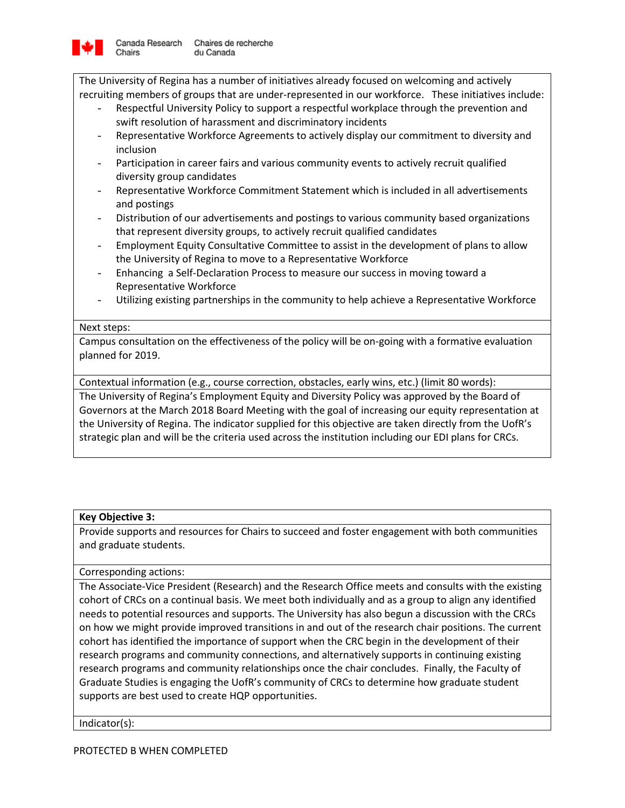

The University of Regina has a number of initiatives already focused on welcoming and actively recruiting members of groups that are under-represented in our workforce. These initiatives include:

- Respectful University Policy to support a respectful workplace through the prevention and swift resolution of harassment and discriminatory incidents
- Representative Workforce Agreements to actively display our commitment to diversity and inclusion
- Participation in career fairs and various community events to actively recruit qualified diversity group candidates
- Representative Workforce Commitment Statement which is included in all advertisements and postings
- Distribution of our advertisements and postings to various community based organizations that represent diversity groups, to actively recruit qualified candidates
- Employment Equity Consultative Committee to assist in the development of plans to allow the University of Regina to move to a Representative Workforce
- Enhancing a Self-Declaration Process to measure our success in moving toward a Representative Workforce
- Utilizing existing partnerships in the community to help achieve a Representative Workforce

### Next steps:

Campus consultation on the effectiveness of the policy will be on-going with a formative evaluation planned for 2019.

Contextual information (e.g., course correction, obstacles, early wins, etc.) (limit 80 words):

The University of Regina's Employment Equity and Diversity Policy was approved by the Board of Governors at the March 2018 Board Meeting with the goal of increasing our equity representation at the University of Regina. The indicator supplied for this objective are taken directly from the UofR's strategic plan and will be the criteria used across the institution including our EDI plans for CRCs.

## **Key Objective 3:**

Provide supports and resources for Chairs to succeed and foster engagement with both communities and graduate students.

## Corresponding actions:

The Associate-Vice President (Research) and the Research Office meets and consults with the existing cohort of CRCs on a continual basis. We meet both individually and as a group to align any identified needs to potential resources and supports. The University has also begun a discussion with the CRCs on how we might provide improved transitions in and out of the research chair positions. The current cohort has identified the importance of support when the CRC begin in the development of their research programs and community connections, and alternatively supports in continuing existing research programs and community relationships once the chair concludes. Finally, the Faculty of Graduate Studies is engaging the UofR's community of CRCs to determine how graduate student supports are best used to create HQP opportunities.

Indicator(s):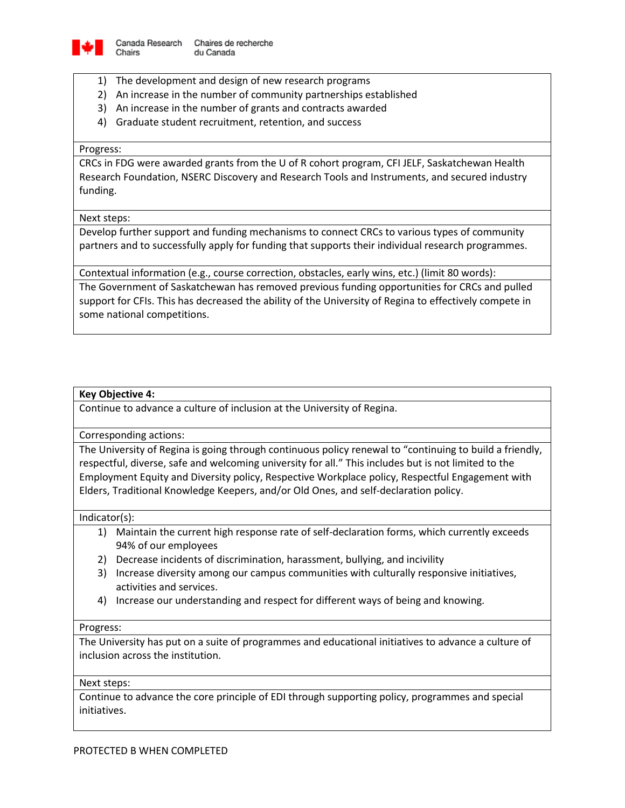

- 1) The development and design of new research programs
- 2) An increase in the number of community partnerships established
- 3) An increase in the number of grants and contracts awarded
- 4) Graduate student recruitment, retention, and success

#### Progress:

CRCs in FDG were awarded grants from the U of R cohort program, CFI JELF, Saskatchewan Health Research Foundation, NSERC Discovery and Research Tools and Instruments, and secured industry funding.

### Next steps:

Develop further support and funding mechanisms to connect CRCs to various types of community partners and to successfully apply for funding that supports their individual research programmes.

Contextual information (e.g., course correction, obstacles, early wins, etc.) (limit 80 words):

The Government of Saskatchewan has removed previous funding opportunities for CRCs and pulled support for CFIs. This has decreased the ability of the University of Regina to effectively compete in some national competitions.

## **Key Objective 4:**

Continue to advance a culture of inclusion at the University of Regina.

Corresponding actions:

The University of Regina is going through continuous policy renewal to "continuing to build a friendly, respectful, diverse, safe and welcoming university for all." This includes but is not limited to the Employment Equity and Diversity policy, Respective Workplace policy, Respectful Engagement with Elders, Traditional Knowledge Keepers, and/or Old Ones, and self-declaration policy.

#### Indicator(s):

- 1) Maintain the current high response rate of self-declaration forms, which currently exceeds 94% of our employees
- 2) Decrease incidents of discrimination, harassment, bullying, and incivility
- 3) Increase diversity among our campus communities with culturally responsive initiatives, activities and services.
- 4) Increase our understanding and respect for different ways of being and knowing.

#### Progress:

The University has put on a suite of programmes and educational initiatives to advance a culture of inclusion across the institution.

## Next steps:

Continue to advance the core principle of EDI through supporting policy, programmes and special initiatives.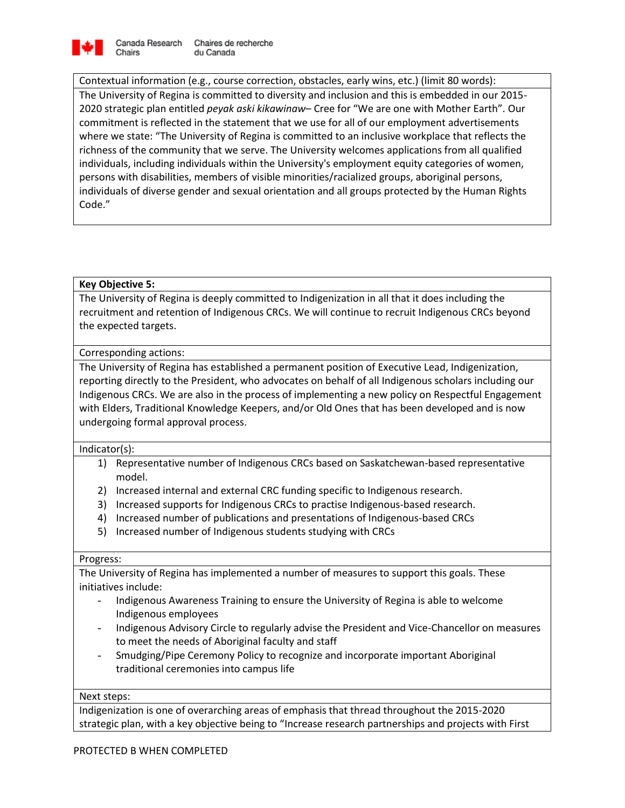

Contextual information (e.g., course correction, obstacles, early wins, etc.) (limit 80 words): The University of Regina is committed to diversity and inclusion and this is embedded in our 2015- 2020 strategic plan entitled *peyak aski kikawinaw*– Cree for "We are one with Mother Earth". Our commitment is reflected in the statement that we use for all of our employment advertisements where we state: "The University of Regina is committed to an inclusive workplace that reflects the richness of the community that we serve. The University welcomes applications from all qualified individuals, including individuals within the University's employment equity categories of women, persons with disabilities, members of visible minorities/racialized groups, aboriginal persons, individuals of diverse gender and sexual orientation and all groups protected by the Human Rights Code."

## **Key Objective 5:**

The University of Regina is deeply committed to Indigenization in all that it does including the recruitment and retention of Indigenous CRCs. We will continue to recruit Indigenous CRCs beyond the expected targets.

## Corresponding actions:

The University of Regina has established a permanent position of Executive Lead, Indigenization, reporting directly to the President, who advocates on behalf of all Indigenous scholars including our Indigenous CRCs. We are also in the process of implementing a new policy on Respectful Engagement with Elders, Traditional Knowledge Keepers, and/or Old Ones that has been developed and is now undergoing formal approval process.

#### Indicator(s):

- 1) Representative number of Indigenous CRCs based on Saskatchewan-based representative model.
- 2) Increased internal and external CRC funding specific to Indigenous research.
- 3) Increased supports for Indigenous CRCs to practise Indigenous-based research.
- 4) Increased number of publications and presentations of Indigenous-based CRCs
- 5) Increased number of Indigenous students studying with CRCs

#### Progress:

The University of Regina has implemented a number of measures to support this goals. These initiatives include:

- Indigenous Awareness Training to ensure the University of Regina is able to welcome Indigenous employees
- Indigenous Advisory Circle to regularly advise the President and Vice-Chancellor on measures to meet the needs of Aboriginal faculty and staff
- Smudging/Pipe Ceremony Policy to recognize and incorporate important Aboriginal traditional ceremonies into campus life

#### Next steps:

Indigenization is one of overarching areas of emphasis that thread throughout the 2015-2020 strategic plan, with a key objective being to "Increase research partnerships and projects with First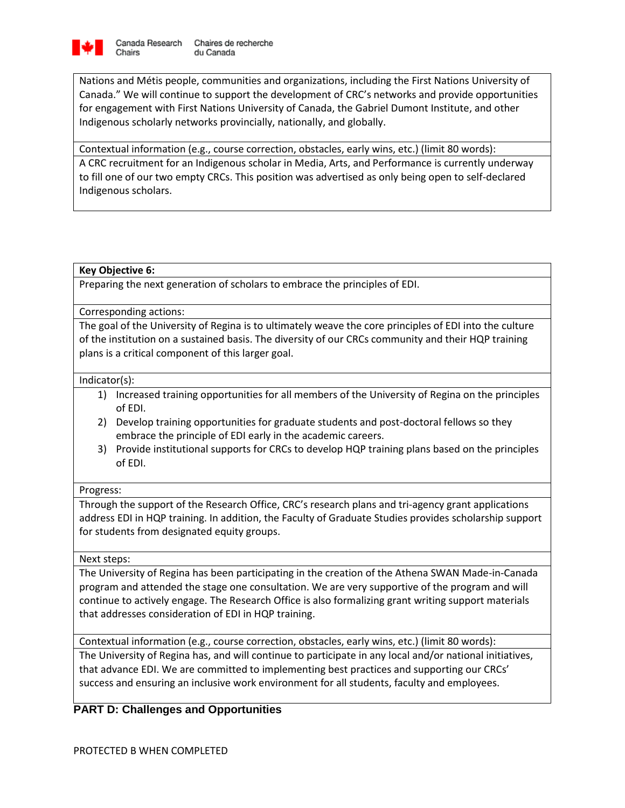

Nations and Métis people, communities and organizations, including the First Nations University of Canada." We will continue to support the development of CRC's networks and provide opportunities for engagement with First Nations University of Canada, the Gabriel Dumont Institute, and other Indigenous scholarly networks provincially, nationally, and globally.

Contextual information (e.g., course correction, obstacles, early wins, etc.) (limit 80 words): A CRC recruitment for an Indigenous scholar in Media, Arts, and Performance is currently underway to fill one of our two empty CRCs. This position was advertised as only being open to self-declared Indigenous scholars.

## **Key Objective 6:**

Preparing the next generation of scholars to embrace the principles of EDI.

Corresponding actions:

The goal of the University of Regina is to ultimately weave the core principles of EDI into the culture of the institution on a sustained basis. The diversity of our CRCs community and their HQP training plans is a critical component of this larger goal.

### Indicator(s):

- 1) Increased training opportunities for all members of the University of Regina on the principles of EDI.
- 2) Develop training opportunities for graduate students and post-doctoral fellows so they embrace the principle of EDI early in the academic careers.
- 3) Provide institutional supports for CRCs to develop HQP training plans based on the principles of EDI.

#### Progress:

Through the support of the Research Office, CRC's research plans and tri-agency grant applications address EDI in HQP training. In addition, the Faculty of Graduate Studies provides scholarship support for students from designated equity groups.

#### Next steps:

The University of Regina has been participating in the creation of the Athena SWAN Made-in-Canada program and attended the stage one consultation. We are very supportive of the program and will continue to actively engage. The Research Office is also formalizing grant writing support materials that addresses consideration of EDI in HQP training.

Contextual information (e.g., course correction, obstacles, early wins, etc.) (limit 80 words):

The University of Regina has, and will continue to participate in any local and/or national initiatives, that advance EDI. We are committed to implementing best practices and supporting our CRCs' success and ensuring an inclusive work environment for all students, faculty and employees.

# **PART D: Challenges and Opportunities**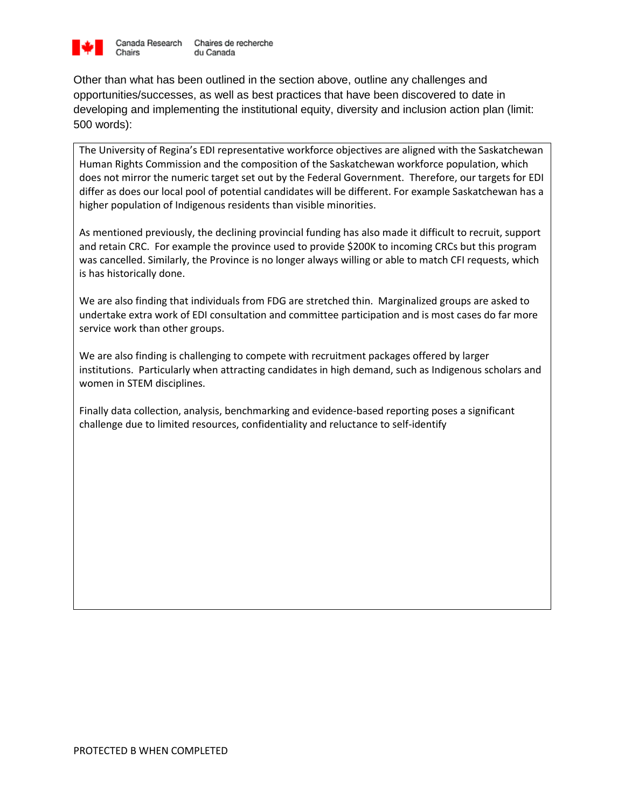

Other than what has been outlined in the section above, outline any challenges and opportunities/successes, as well as best practices that have been discovered to date in developing and implementing the institutional equity, diversity and inclusion action plan (limit: 500 words):

The University of Regina's EDI representative workforce objectives are aligned with the Saskatchewan Human Rights Commission and the composition of the Saskatchewan workforce population, which does not mirror the numeric target set out by the Federal Government. Therefore, our targets for EDI differ as does our local pool of potential candidates will be different. For example Saskatchewan has a higher population of Indigenous residents than visible minorities.

As mentioned previously, the declining provincial funding has also made it difficult to recruit, support and retain CRC. For example the province used to provide \$200K to incoming CRCs but this program was cancelled. Similarly, the Province is no longer always willing or able to match CFI requests, which is has historically done.

We are also finding that individuals from FDG are stretched thin. Marginalized groups are asked to undertake extra work of EDI consultation and committee participation and is most cases do far more service work than other groups.

We are also finding is challenging to compete with recruitment packages offered by larger institutions. Particularly when attracting candidates in high demand, such as Indigenous scholars and women in STEM disciplines.

Finally data collection, analysis, benchmarking and evidence-based reporting poses a significant challenge due to limited resources, confidentiality and reluctance to self-identify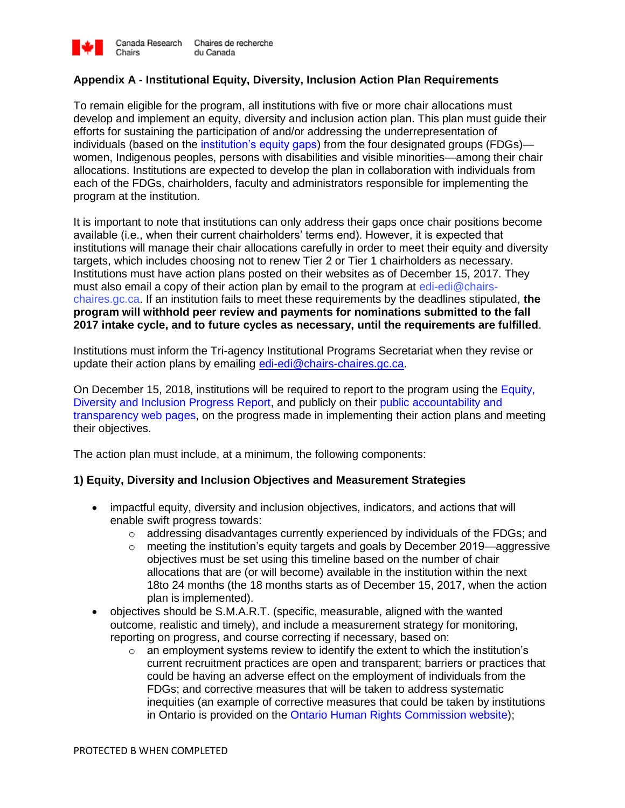

## **Appendix A - Institutional Equity, Diversity, Inclusion Action Plan Requirements**

To remain eligible for the program, all institutions with five or more chair allocations must develop and implement an equity, diversity and inclusion action plan. This plan must guide their efforts for sustaining the participation of and/or addressing the underrepresentation of individuals (based on the institution's equity gaps) from the four designated groups (FDGs) women, Indigenous peoples, persons with disabilities and visible minorities—among their chair allocations. Institutions are expected to develop the plan in collaboration with individuals from each of the FDGs, chairholders, faculty and administrators responsible for implementing the program at the institution.

It is important to note that institutions can only address their gaps once chair positions become available (i.e., when their current chairholders' terms end). However, it is expected that institutions will manage their chair allocations carefully in order to meet their equity and diversity targets, which includes choosing not to renew Tier 2 or Tier 1 chairholders as necessary. Institutions must have action plans posted on their websites as of December 15, 2017. They must also email a copy of their action plan by email to the program at edi-edi@chairschaires.gc.ca. If an institution fails to meet these requirements by the deadlines stipulated, **the program will withhold peer review and payments for nominations submitted to the fall 2017 intake cycle, and to future cycles as necessary, until the requirements are fulfilled**.

Institutions must inform the Tri-agency Institutional Programs Secretariat when they revise or update their action plans by emailing [edi-edi@chairs-chaires.gc.ca.](mailto:edi-edi@chairs-chaires.gc.ca)

On December 15, 2018, institutions will be required to report to the program using the Equity, Diversity and Inclusion Progress Report, and publicly on their public accountability and transparency web pages, on the progress made in implementing their action plans and meeting their objectives.

The action plan must include, at a minimum, the following components:

## **1) Equity, Diversity and Inclusion Objectives and Measurement Strategies**

- impactful equity, diversity and inclusion objectives, indicators, and actions that will enable swift progress towards:
	- $\circ$  addressing disadvantages currently experienced by individuals of the FDGs; and
	- $\circ$  meeting the institution's equity targets and goals by December 2019—aggressive objectives must be set using this timeline based on the number of chair allocations that are (or will become) available in the institution within the next 18to 24 months (the 18 months starts as of December 15, 2017, when the action plan is implemented).
- objectives should be S.M.A.R.T. (specific, measurable, aligned with the wanted outcome, realistic and timely), and include a measurement strategy for monitoring, reporting on progress, and course correcting if necessary, based on:
	- $\circ$  an employment systems review to identify the extent to which the institution's current recruitment practices are open and transparent; barriers or practices that could be having an adverse effect on the employment of individuals from the FDGs; and corrective measures that will be taken to address systematic inequities (an example of corrective measures that could be taken by institutions in Ontario is provided on the Ontario Human Rights Commission website);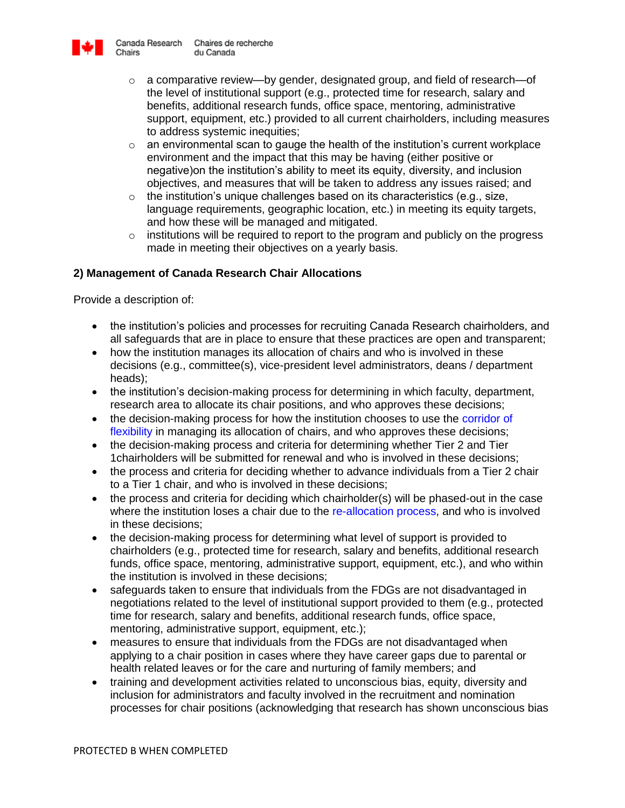

- $\circ$  a comparative review—by gender, designated group, and field of research—of the level of institutional support (e.g., protected time for research, salary and benefits, additional research funds, office space, mentoring, administrative support, equipment, etc.) provided to all current chairholders, including measures to address systemic inequities;
- $\circ$  an environmental scan to gauge the health of the institution's current workplace environment and the impact that this may be having (either positive or negative)on the institution's ability to meet its equity, diversity, and inclusion objectives, and measures that will be taken to address any issues raised; and
- $\circ$  the institution's unique challenges based on its characteristics (e.g., size, language requirements, geographic location, etc.) in meeting its equity targets, and how these will be managed and mitigated.
- o institutions will be required to report to the program and publicly on the progress made in meeting their objectives on a yearly basis.

# **2) Management of Canada Research Chair Allocations**

Provide a description of:

- the institution's policies and processes for recruiting Canada Research chairholders, and all safeguards that are in place to ensure that these practices are open and transparent;
- how the institution manages its allocation of chairs and who is involved in these decisions (e.g., committee(s), vice-president level administrators, deans / department heads);
- the institution's decision-making process for determining in which faculty, department, research area to allocate its chair positions, and who approves these decisions;
- the decision-making process for how the institution chooses to use the corridor of flexibility in managing its allocation of chairs, and who approves these decisions;
- the decision-making process and criteria for determining whether Tier 2 and Tier 1chairholders will be submitted for renewal and who is involved in these decisions;
- the process and criteria for deciding whether to advance individuals from a Tier 2 chair to a Tier 1 chair, and who is involved in these decisions;
- the process and criteria for deciding which chairholder(s) will be phased-out in the case where the institution loses a chair due to the re-allocation process, and who is involved in these decisions;
- the decision-making process for determining what level of support is provided to chairholders (e.g., protected time for research, salary and benefits, additional research funds, office space, mentoring, administrative support, equipment, etc.), and who within the institution is involved in these decisions;
- safeguards taken to ensure that individuals from the FDGs are not disadvantaged in negotiations related to the level of institutional support provided to them (e.g., protected time for research, salary and benefits, additional research funds, office space, mentoring, administrative support, equipment, etc.);
- measures to ensure that individuals from the FDGs are not disadvantaged when applying to a chair position in cases where they have career gaps due to parental or health related leaves or for the care and nurturing of family members; and
- training and development activities related to unconscious bias, equity, diversity and inclusion for administrators and faculty involved in the recruitment and nomination processes for chair positions (acknowledging that research has shown unconscious bias